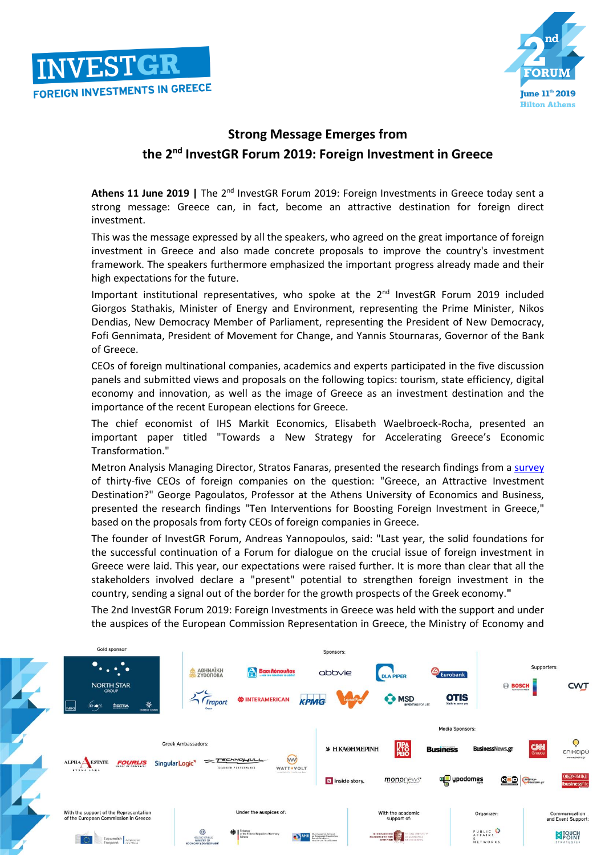



## **Strong Message Emerges from the 2 nd InvestGR Forum 2019: Foreign Investment in Greece**

Athens 11 June 2019 | The 2<sup>nd</sup> InvestGR Forum 2019: Foreign Investments in Greece today sent a strong message: Greece can, in fact, become an attractive destination for foreign direct investment.

This was the message expressed by all the speakers, who agreed on the great importance of foreign investment in Greece and also made concrete proposals to improve the country's investment framework. The speakers furthermore emphasized the important progress already made and their high expectations for the future.

Important institutional representatives, who spoke at the 2<sup>nd</sup> InvestGR Forum 2019 included Giorgos Stathakis, Minister of Energy and Environment, representing the Prime Minister, Nikos Dendias, New Democracy Member of Parliament, representing the President of New Democracy, Fofi Gennimata, President of Movement for Change, and Yannis Stournaras, Governor of the Bank of Greece.

CEOs of foreign multinational companies, academics and experts participated in the five discussion panels and submitted views and proposals on the following topics: tourism, state efficiency, digital economy and innovation, as well as the image of Greece as an investment destination and the importance of the recent European elections for Greece.

The chief economist of IHS Markit Economics, Elisabeth Waelbroeck-Rocha, presented an important paper titled "Towards a New Strategy for Accelerating Greece's Economic Transformation."

Metron Analysis Managing Director, Stratos Fanaras, presented the research findings from a [survey](http://investgr.eu/SurveyMETRONANALYSIS.PDF) of thirty-five CEOs of foreign companies on the question: "Greece, an Attractive Investment Destination?" George Pagoulatos, Professor at the Athens University of Economics and Business, presented the research findings "Ten Interventions for Boosting Foreign Investment in Greece," based on the proposals from forty CEOs of foreign companies in Greece.

The founder of InvestGR Forum, Andreas Yannopoulos, said: "Last year, the solid foundations for the successful continuation of a Forum for dialogue on the crucial issue of foreign investment in Greece were laid. This year, our expectations were raised further. It is more than clear that all the stakeholders involved declare a "present" potential to strengthen foreign investment in the country, sending a signal out of the border for the growth prospects of the Greek economy.**"**

The 2nd InvestGR Forum 2019: Foreign Investments in Greece was held with the support and under the auspices of the European Commission Representation in Greece, the Ministry of Economy and